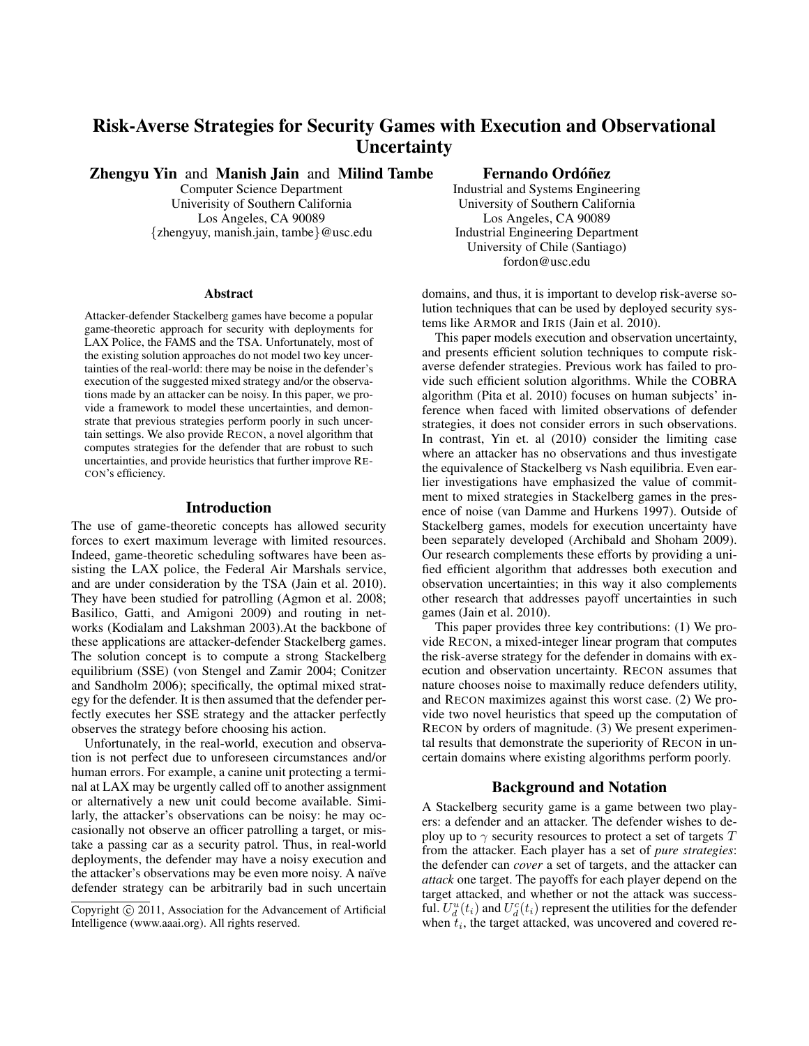# Risk-Averse Strategies for Security Games with Execution and Observational **Uncertainty**

Zhengyu Yin and Manish Jain and Milind Tambe

Computer Science Department Univerisity of Southern California Los Angeles, CA 90089 {zhengyuy, manish.jain, tambe}@usc.edu

#### Abstract

Attacker-defender Stackelberg games have become a popular game-theoretic approach for security with deployments for LAX Police, the FAMS and the TSA. Unfortunately, most of the existing solution approaches do not model two key uncertainties of the real-world: there may be noise in the defender's execution of the suggested mixed strategy and/or the observations made by an attacker can be noisy. In this paper, we provide a framework to model these uncertainties, and demonstrate that previous strategies perform poorly in such uncertain settings. We also provide RECON, a novel algorithm that computes strategies for the defender that are robust to such uncertainties, and provide heuristics that further improve RE-CON's efficiency.

# Introduction

The use of game-theoretic concepts has allowed security forces to exert maximum leverage with limited resources. Indeed, game-theoretic scheduling softwares have been assisting the LAX police, the Federal Air Marshals service, and are under consideration by the TSA (Jain et al. 2010). They have been studied for patrolling (Agmon et al. 2008; Basilico, Gatti, and Amigoni 2009) and routing in networks (Kodialam and Lakshman 2003).At the backbone of these applications are attacker-defender Stackelberg games. The solution concept is to compute a strong Stackelberg equilibrium (SSE) (von Stengel and Zamir 2004; Conitzer and Sandholm 2006); specifically, the optimal mixed strategy for the defender. It is then assumed that the defender perfectly executes her SSE strategy and the attacker perfectly observes the strategy before choosing his action.

Unfortunately, in the real-world, execution and observation is not perfect due to unforeseen circumstances and/or human errors. For example, a canine unit protecting a terminal at LAX may be urgently called off to another assignment or alternatively a new unit could become available. Similarly, the attacker's observations can be noisy: he may occasionally not observe an officer patrolling a target, or mistake a passing car as a security patrol. Thus, in real-world deployments, the defender may have a noisy execution and the attacker's observations may be even more noisy. A naïve defender strategy can be arbitrarily bad in such uncertain

# Fernando Ordóñez

Industrial and Systems Engineering University of Southern California Los Angeles, CA 90089 Industrial Engineering Department University of Chile (Santiago) fordon@usc.edu

domains, and thus, it is important to develop risk-averse solution techniques that can be used by deployed security systems like ARMOR and IRIS (Jain et al. 2010).

This paper models execution and observation uncertainty, and presents efficient solution techniques to compute riskaverse defender strategies. Previous work has failed to provide such efficient solution algorithms. While the COBRA algorithm (Pita et al. 2010) focuses on human subjects' inference when faced with limited observations of defender strategies, it does not consider errors in such observations. In contrast, Yin et. al (2010) consider the limiting case where an attacker has no observations and thus investigate the equivalence of Stackelberg vs Nash equilibria. Even earlier investigations have emphasized the value of commitment to mixed strategies in Stackelberg games in the presence of noise (van Damme and Hurkens 1997). Outside of Stackelberg games, models for execution uncertainty have been separately developed (Archibald and Shoham 2009). Our research complements these efforts by providing a unified efficient algorithm that addresses both execution and observation uncertainties; in this way it also complements other research that addresses payoff uncertainties in such games (Jain et al. 2010).

This paper provides three key contributions: (1) We provide RECON, a mixed-integer linear program that computes the risk-averse strategy for the defender in domains with execution and observation uncertainty. RECON assumes that nature chooses noise to maximally reduce defenders utility, and RECON maximizes against this worst case. (2) We provide two novel heuristics that speed up the computation of RECON by orders of magnitude. (3) We present experimental results that demonstrate the superiority of RECON in uncertain domains where existing algorithms perform poorly.

# Background and Notation

A Stackelberg security game is a game between two players: a defender and an attacker. The defender wishes to deploy up to  $\gamma$  security resources to protect a set of targets T from the attacker. Each player has a set of *pure strategies*: the defender can *cover* a set of targets, and the attacker can *attack* one target. The payoffs for each player depend on the target attacked, and whether or not the attack was successful.  $U_d^u(t_i)$  and  $U_d^c(t_i)$  represent the utilities for the defender when  $t_i$ , the target attacked, was uncovered and covered re-

Copyright © 2011, Association for the Advancement of Artificial Intelligence (www.aaai.org). All rights reserved.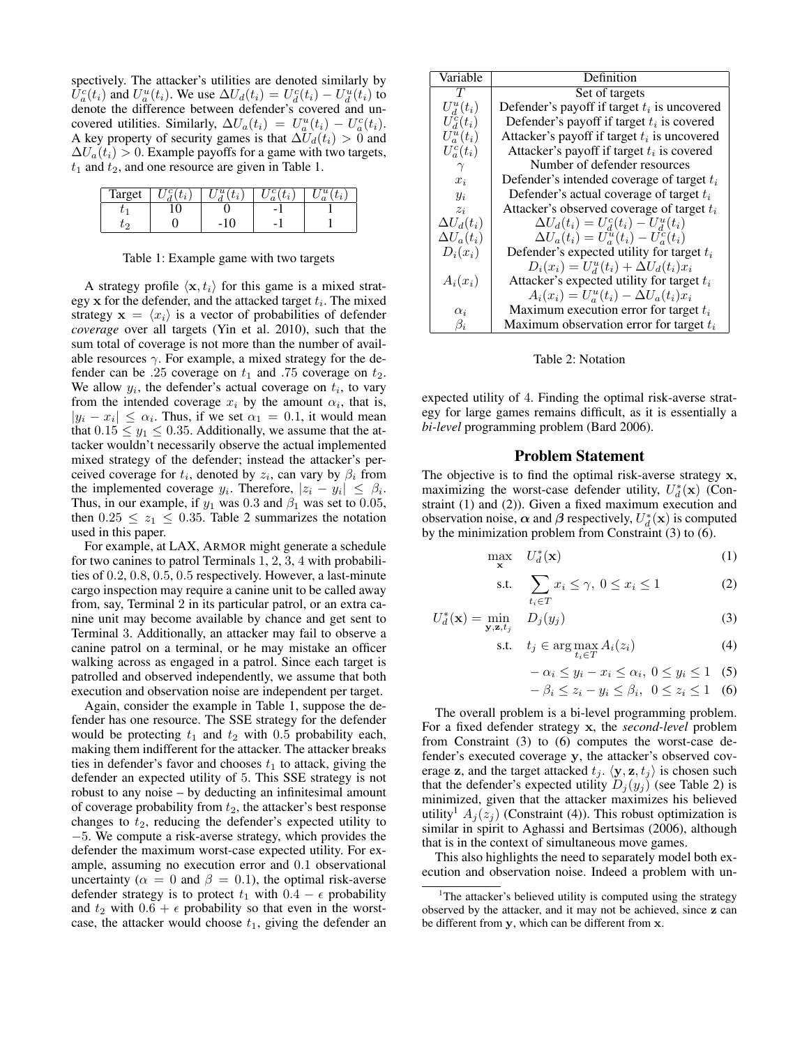spectively. The attacker's utilities are denoted similarly by  $\hat{U}_a^c(t_i)$  and  $U_a^u(t_i)$ . We use  $\Delta U_a(t_i) = U_a^c(t_i) - U_a^u(t_i)$  to denote the difference between defender's covered and uncovered utilities. Similarly,  $\Delta U_a(t_i) = U_a^u(t_i) - U_a^c(t_i)$ . A key property of security games is that  $\Delta U_d(t_i) > 0$  and  $\Delta U_a(t_i) > 0$ . Example payoffs for a game with two targets,  $t_1$  and  $t_2$ , and one resource are given in Table 1.

| Target |  |                |  |
|--------|--|----------------|--|
|        |  | $\overline{a}$ |  |
|        |  | -              |  |

Table 1: Example game with two targets

A strategy profile  $\langle \mathbf{x}, t_i \rangle$  for this game is a mixed strategy  $x$  for the defender, and the attacked target  $t_i$ . The mixed strategy  $\mathbf{x} = \langle x_i \rangle$  is a vector of probabilities of defender *coverage* over all targets (Yin et al. 2010), such that the sum total of coverage is not more than the number of available resources  $\gamma$ . For example, a mixed strategy for the defender can be .25 coverage on  $t_1$  and .75 coverage on  $t_2$ . We allow  $y_i$ , the defender's actual coverage on  $t_i$ , to vary from the intended coverage  $x_i$  by the amount  $\alpha_i$ , that is,  $|y_i - x_i| \leq \alpha_i$ . Thus, if we set  $\alpha_1 = 0.1$ , it would mean that  $0.15 \le y_1 \le 0.35$ . Additionally, we assume that the attacker wouldn't necessarily observe the actual implemented mixed strategy of the defender; instead the attacker's perceived coverage for  $t_i$ , denoted by  $z_i$ , can vary by  $\beta_i$  from the implemented coverage  $y_i$ . Therefore,  $|z_i - y_i| \leq \beta_i$ . Thus, in our example, if  $y_1$  was 0.3 and  $\beta_1$  was set to 0.05, then  $0.25 \le z_1 \le 0.35$ . Table 2 summarizes the notation used in this paper.

For example, at LAX, ARMOR might generate a schedule for two canines to patrol Terminals 1, 2, 3, 4 with probabilities of 0.2, 0.8, 0.5, 0.5 respectively. However, a last-minute cargo inspection may require a canine unit to be called away from, say, Terminal 2 in its particular patrol, or an extra canine unit may become available by chance and get sent to Terminal 3. Additionally, an attacker may fail to observe a canine patrol on a terminal, or he may mistake an officer walking across as engaged in a patrol. Since each target is patrolled and observed independently, we assume that both execution and observation noise are independent per target.

Again, consider the example in Table 1, suppose the defender has one resource. The SSE strategy for the defender would be protecting  $t_1$  and  $t_2$  with 0.5 probability each, making them indifferent for the attacker. The attacker breaks ties in defender's favor and chooses  $t_1$  to attack, giving the defender an expected utility of 5. This SSE strategy is not robust to any noise – by deducting an infinitesimal amount of coverage probability from  $t_2$ , the attacker's best response changes to  $t_2$ , reducing the defender's expected utility to −5. We compute a risk-averse strategy, which provides the defender the maximum worst-case expected utility. For example, assuming no execution error and 0.1 observational uncertainty ( $\alpha = 0$  and  $\beta = 0.1$ ), the optimal risk-averse defender strategy is to protect  $t_1$  with  $0.4 - \epsilon$  probability and  $t_2$  with  $0.6 + \epsilon$  probability so that even in the worstcase, the attacker would choose  $t_1$ , giving the defender an

| Variable          | Definition                                     |  |
|-------------------|------------------------------------------------|--|
| T                 | Set of targets                                 |  |
| $U_d^u(t_i)$      | Defender's payoff if target $t_i$ is uncovered |  |
| $U_d^c(t_i)$      | Defender's payoff if target $t_i$ is covered   |  |
| $U_a^u(t_i)$      | Attacker's payoff if target $t_i$ is uncovered |  |
| $U_a^c(t_i)$      | Attacker's payoff if target $t_i$ is covered   |  |
|                   | Number of defender resources                   |  |
| $x_i$             | Defender's intended coverage of target $t_i$   |  |
| $y_i$             | Defender's actual coverage of target $t_i$     |  |
| $z_i$             | Attacker's observed coverage of target $t_i$   |  |
| $\Delta U_d(t_i)$ | $\Delta U_d(t_i) = U_d^c(t_i) - U_d^u(t_i)$    |  |
| $\Delta U_a(t_i)$ | $\Delta U_a(t_i) = U_a^u(t_i) - U_a^c(t_i)$    |  |
| $D_i(x_i)$        | Defender's expected utility for target $t_i$   |  |
|                   | $D_i(x_i) = U_d^u(t_i) + \Delta U_d(t_i)x_i$   |  |
| $A_i(x_i)$        | Attacker's expected utility for target $t_i$   |  |
|                   | $A_i(x_i) = U_a^u(t_i) - \Delta U_a(t_i)x_i$   |  |
| $\alpha_i$        | Maximum execution error for target $t_i$       |  |
| $\beta_i$         | Maximum observation error for target $t_i$     |  |

Table 2: Notation

expected utility of 4. Finding the optimal risk-averse strategy for large games remains difficult, as it is essentially a *bi-level* programming problem (Bard 2006).

# Problem Statement

The objective is to find the optimal risk-averse strategy x, maximizing the worst-case defender utility,  $U_d^*(\mathbf{x})$  (Constraint (1) and (2)). Given a fixed maximum execution and observation noise,  $\alpha$  and  $\beta$  respectively,  $U_d^*(\mathbf{x})$  is computed by the minimization problem from Constraint (3) to (6).

$$
\max_{\mathbf{x}} \quad U_d^*(\mathbf{x}) \tag{1}
$$

s.t. 
$$
\sum_{t_i \in T} x_i \le \gamma, \ 0 \le x_i \le 1 \tag{2}
$$

$$
U_d^*(\mathbf{x}) = \min_{\mathbf{y}, \mathbf{z}, t_j} D_j(y_j)
$$
(3)

$$
\text{s.t.} \quad t_j \in \arg\max_{t_i \in T} A_i(z_i) \tag{4}
$$

$$
-\alpha_i \le y_i - x_i \le \alpha_i, \ 0 \le y_i \le 1 \quad (5)
$$

$$
-\beta_i \le z_i - y_i \le \beta_i, \ \ 0 \le z_i \le 1 \quad (6)
$$

The overall problem is a bi-level programming problem. For a fixed defender strategy x, the *second-level* problem from Constraint (3) to (6) computes the worst-case defender's executed coverage y, the attacker's observed coverage z, and the target attacked  $t_j$ .  $\langle y, z, t_j \rangle$  is chosen such that the defender's expected utility  $D_i(y_i)$  (see Table 2) is minimized, given that the attacker maximizes his believed utility<sup>1</sup>  $A_j(z_j)$  (Constraint (4)). This robust optimization is similar in spirit to Aghassi and Bertsimas (2006), although that is in the context of simultaneous move games.

This also highlights the need to separately model both execution and observation noise. Indeed a problem with un-

<sup>&</sup>lt;sup>1</sup>The attacker's believed utility is computed using the strategy observed by the attacker, and it may not be achieved, since z can be different from y, which can be different from x.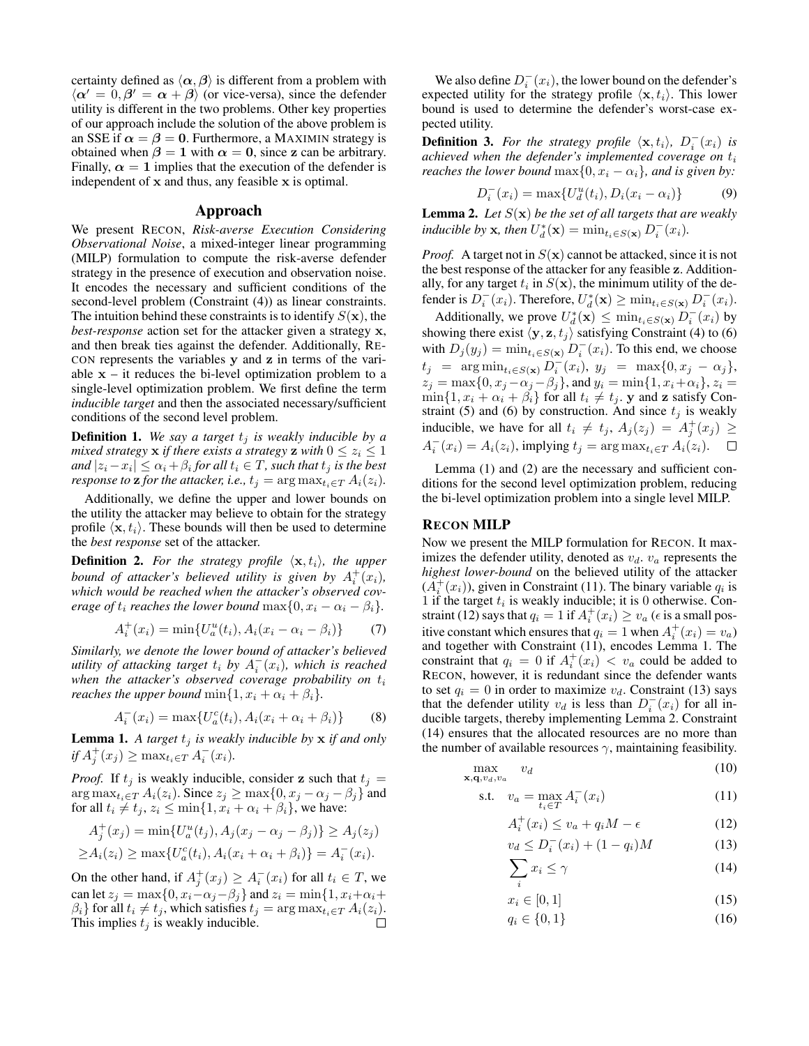certainty defined as  $\langle \alpha, \beta \rangle$  is different from a problem with  $\langle \alpha' = 0, \beta' = \alpha + \beta \rangle$  (or vice-versa), since the defender utility is different in the two problems. Other key properties of our approach include the solution of the above problem is an SSE if  $\alpha = \beta = 0$ . Furthermore, a MAXIMIN strategy is obtained when  $\beta = 1$  with  $\alpha = 0$ , since z can be arbitrary. Finally,  $\alpha = 1$  implies that the execution of the defender is independent of x and thus, any feasible x is optimal.

## Approach

We present RECON, *Risk-averse Execution Considering Observational Noise*, a mixed-integer linear programming (MILP) formulation to compute the risk-averse defender strategy in the presence of execution and observation noise. It encodes the necessary and sufficient conditions of the second-level problem (Constraint (4)) as linear constraints. The intuition behind these constraints is to identify  $S(\mathbf{x})$ , the *best-response* action set for the attacker given a strategy x, and then break ties against the defender. Additionally, RE-CON represents the variables y and z in terms of the variable  $x - it$  reduces the bi-level optimization problem to a single-level optimization problem. We first define the term *inducible target* and then the associated necessary/sufficient conditions of the second level problem.

**Definition 1.** We say a target  $t_j$  is weakly inducible by a *mixed strategy* **x** *if there exists a strategy* **z** *with*  $0 \leq z_i \leq 1$ and  $|z_i - x_i| \leq \alpha_i + \beta_i$  for all  $t_i \in T$ , such that  $t_j$  is the best *response to* **z** *for the attacker, i.e.,*  $t_j = \arg \max_{t_i \in T} A_i(z_i)$ *.* 

Additionally, we define the upper and lower bounds on the utility the attacker may believe to obtain for the strategy profile  $\langle \mathbf{x}, t_i \rangle$ . These bounds will then be used to determine the *best response* set of the attacker.

**Definition 2.** For the strategy profile  $\langle x, t_i \rangle$ , the upper *bound of attacker's believed utility is given by*  $A_i^+(x_i)$ , *which would be reached when the attacker's observed coverage of*  $t_i$  *reaches the lower bound*  $\max\{0, x_i - \alpha_i - \beta_i\}.$ 

$$
A_i^+(x_i) = \min\{U_a^u(t_i), A_i(x_i - \alpha_i - \beta_i)\}\tag{7}
$$

*Similarly, we denote the lower bound of attacker's believed utility of attacking target*  $t_i$  *by*  $A_i^-(x_i)$ *, which is reached* when the attacker's observed coverage probability on  $t_i$ *reaches the upper bound*  $\min\{1, x_i + \alpha_i + \beta_i\}.$ 

$$
A_i^-(x_i) = \max\{U_a^c(t_i), A_i(x_i + \alpha_i + \beta_i)\}\tag{8}
$$

**Lemma 1.** A target  $t_j$  is weakly inducible by  $x$  if and only  $if A_j^+(x_j) \ge \max_{t_i \in T} A_i^-(x_i)$ .

*Proof.* If  $t_i$  is weakly inducible, consider z such that  $t_i$  =  $\arg \max_{t_i \in T} A_i(z_i)$ . Since  $z_j \ge \max\{0, x_j - \alpha_j - \beta_j\}$  and for all  $t_i \neq t_j$ ,  $z_i \leq \min\{1, x_i + \alpha_i + \beta_i\}$ , we have:

$$
A_j^+(x_j) = \min\{U_a^u(t_j), A_j(x_j - \alpha_j - \beta_j)\} \ge A_j(z_j)
$$
  
 
$$
\ge A_i(z_i) \ge \max\{U_a^c(t_i), A_i(x_i + \alpha_i + \beta_i)\} = A_i^-(x_i).
$$

On the other hand, if  $A_j^+(x_j) \geq A_i^-(x_i)$  for all  $t_i \in T$ , we can let  $z_j = \max\{0, x_i - \alpha_j - \beta_j\}$  and  $z_i = \min\{1, x_i + \alpha_i + \beta_j\}$  $\beta_i$ } for all  $t_i \neq t_j$ , which satisfies  $t_j = \arg \max_{t_i \in T} A_i(z_i)$ . This implies  $t_i$  is weakly inducible.

We also define  $D_i^-(x_i)$ , the lower bound on the defender's expected utility for the strategy profile  $\langle \mathbf{x}, t_i \rangle$ . This lower bound is used to determine the defender's worst-case expected utility.

**Definition 3.** For the strategy profile  $\langle \mathbf{x}, t_i \rangle$ ,  $D_i^-(x_i)$  is *achieved when the defender's implemented coverage on*  $t_i$ *reaches the lower bound*  $\max\{0, x_i - \alpha_i\}$ *, and is given by:* 

$$
D_i^-(x_i) = \max\{U_d^u(t_i), D_i(x_i - \alpha_i)\}\tag{9}
$$

Lemma 2. *Let* S(x) *be the set of all targets that are weakly inducible by* **x***, then*  $U_d^*(\mathbf{x}) = \min_{t_i \in S(\mathbf{x})} D_i^-(x_i)$ *.* 

*Proof.* A target not in  $S(\mathbf{x})$  cannot be attacked, since it is not the best response of the attacker for any feasible z. Additionally, for any target  $t_i$  in  $S(\mathbf{x})$ , the minimum utility of the defender is  $D_i^-(x_i)$ . Therefore,  $U_d^*(\mathbf{x}) \ge \min_{t_i \in S(\mathbf{x})} D_i^-(x_i)$ .

Additionally, we prove  $U_d^*(\mathbf{x}) \leq \min_{t_i \in S(\mathbf{x})} D_i^-(x_i)$  by showing there exist  $\langle y, z, t_j \rangle$  satisfying Constraint (4) to (6) with  $D_j(y_j) = \min_{t_i \in S(\mathbf{x})} D_i^-(x_i)$ . To this end, we choose  $t_j = \arg \min_{t_i \in S(\mathbf{x})} D_i^{-}(x_i), \ y_j = \max\{0, x_j - \alpha_j\},\$  $z_j = \max\{0, x_j - \alpha_j - \beta_j\}$ , and  $y_i = \min\{1, x_i + \alpha_i\}$ ,  $z_i =$  $\min\{1, x_i + \alpha_i + \beta_i\}$  for all  $t_i \neq t_j$ . y and z satisfy Constraint (5) and (6) by construction. And since  $t_j$  is weakly inducible, we have for all  $t_i \neq t_j$ ,  $A_j(z_j) = A_j^+(x_j) \geq$  $A_i^-(x_i) = A_i(z_i)$ , implying  $t_j = \arg \max_{t_i \in T} A_i(z_i)$ .  $\Box$ 

Lemma (1) and (2) are the necessary and sufficient conditions for the second level optimization problem, reducing the bi-level optimization problem into a single level MILP.

#### RECON MILP

Now we present the MILP formulation for RECON. It maximizes the defender utility, denoted as  $v_d$ .  $v_a$  represents the *highest lower-bound* on the believed utility of the attacker  $(A_i^+(x_i))$ , given in Constraint (11). The binary variable  $q_i$  is 1 if the target  $t_i$  is weakly inducible; it is 0 otherwise. Constraint (12) says that  $q_i = 1$  if  $A_i^+(x_i) \ge v_a$  ( $\epsilon$  is a small positive constant which ensures that  $q_i = 1$  when  $A_i^+(x_i) = v_a$ ) and together with Constraint (11), encodes Lemma 1. The constraint that  $q_i = 0$  if  $A_i^+(x_i) < v_a$  could be added to RECON, however, it is redundant since the defender wants to set  $q_i = 0$  in order to maximize  $v_d$ . Constraint (13) says that the defender utility  $v_d$  is less than  $D_i^-(x_i)$  for all inducible targets, thereby implementing Lemma 2. Constraint (14) ensures that the allocated resources are no more than the number of available resources  $\gamma$ , maintaining feasibility.

$$
\max_{\mathbf{x}, \mathbf{q}, v_d, v_a} v_d \tag{10}
$$

$$
\text{s.t.} \quad v_a = \max_{t_i \in T} A_i^-(x_i) \tag{11}
$$

$$
A_i^+(x_i) \le v_a + q_i M - \epsilon \tag{12}
$$

$$
v_d \le D_i^-(x_i) + (1 - q_i)M \tag{13}
$$

$$
\sum_{i} x_i \le \gamma \tag{14}
$$

$$
x_i \in [0, 1] \tag{15}
$$

$$
q_i \in \{0, 1\} \tag{16}
$$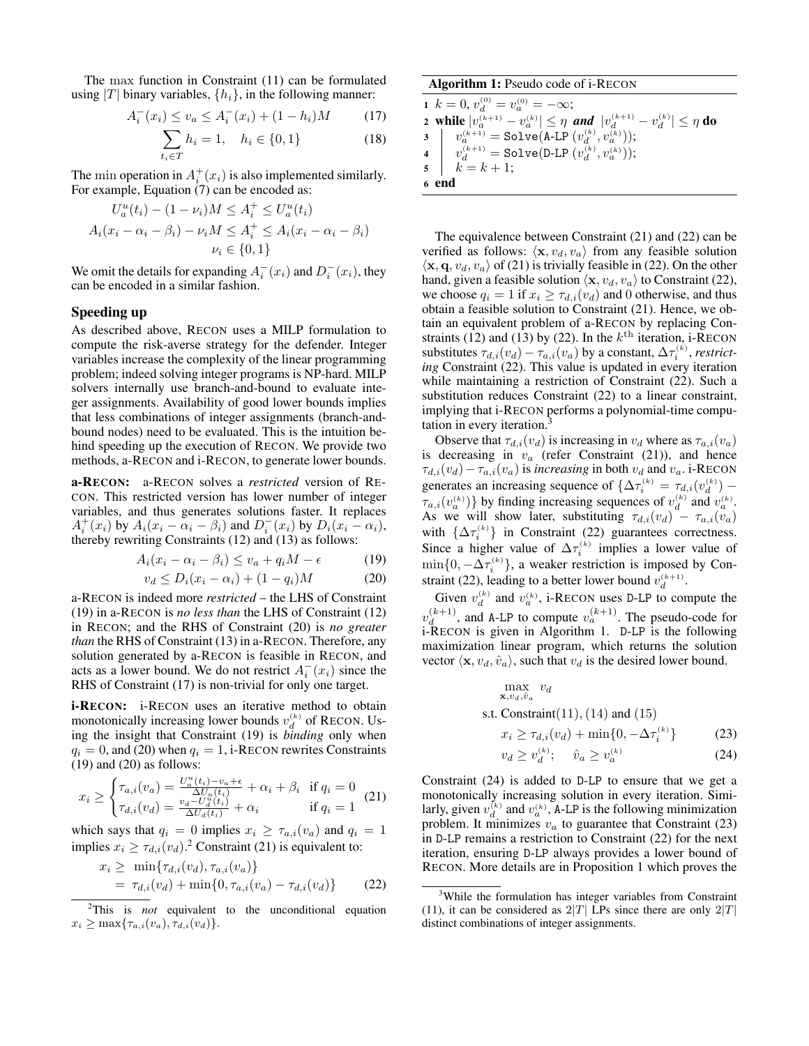The max function in Constraint (11) can be formulated using |T| binary variables,  $\{h_i\}$ , in the following manner:

$$
A_i^-(x_i) \le v_a \le A_i^-(x_i) + (1 - h_i)M \tag{17}
$$

$$
\sum_{t_i \in T} h_i = 1, \quad h_i \in \{0, 1\}
$$
 (18)

The min operation in  $A_i^+(x_i)$  is also implemented similarly. For example, Equation  $(7)$  can be encoded as:

$$
U_a^u(t_i) - (1 - \nu_i)M \le A_i^+ \le U_a^u(t_i)
$$
  

$$
A_i(x_i - \alpha_i - \beta_i) - \nu_i M \le A_i^+ \le A_i(x_i - \alpha_i - \beta_i)
$$
  

$$
\nu_i \in \{0, 1\}
$$

We omit the details for expanding  $A_i^-(x_i)$  and  $D_i^-(x_i)$ , they can be encoded in a similar fashion.

#### Speeding up

As described above, RECON uses a MILP formulation to compute the risk-averse strategy for the defender. Integer variables increase the complexity of the linear programming problem; indeed solving integer programs is NP-hard. MILP solvers internally use branch-and-bound to evaluate integer assignments. Availability of good lower bounds implies that less combinations of integer assignments (branch-andbound nodes) need to be evaluated. This is the intuition behind speeding up the execution of RECON. We provide two methods, a-RECON and i-RECON, to generate lower bounds.

a-RECON: a-RECON solves a *restricted* version of RE-CON. This restricted version has lower number of integer variables, and thus generates solutions faster. It replaces  $A_i^+(x_i)$  by  $A_i(x_i - \alpha_i - \beta_i)$  and  $D_i^-(x_i)$  by  $D_i(x_i - \alpha_i)$ , thereby rewriting Constraints (12) and (13) as follows:

$$
A_i(x_i - \alpha_i - \beta_i) \le v_a + q_i M - \epsilon \tag{19}
$$

$$
v_d \le D_i(x_i - \alpha_i) + (1 - q_i)M \tag{20}
$$

a-RECON is indeed more *restricted* – the LHS of Constraint (19) in a-RECON is *no less than* the LHS of Constraint (12) in RECON; and the RHS of Constraint (20) is *no greater than* the RHS of Constraint (13) in a-RECON. Therefore, any solution generated by a-RECON is feasible in RECON, and acts as a lower bound. We do not restrict  $A_i^-(x_i)$  since the RHS of Constraint (17) is non-trivial for only one target.

**i-RECON:** i-RECON uses an iterative method to obtain monotonically increasing lower bounds  $v_d^{(k)}$  of RECON. Using the insight that Constraint (19) is *binding* only when  $q_i = 0$ , and (20) when  $q_i = 1$ , i-RECON rewrites Constraints  $(19)$  and  $(20)$  as follows:

$$
x_i \ge \begin{cases} \tau_{a,i}(v_a) = \frac{U_a^u(t_i) - v_a + \epsilon}{\Delta U_a(t_i)} + \alpha_i + \beta_i & \text{if } q_i = 0\\ \tau_{d,i}(v_d) = \frac{v_d - U_d^u(t_i)}{\Delta U_d(t_i)} + \alpha_i & \text{if } q_i = 1 \end{cases}
$$
(21)

which says that  $q_i = 0$  implies  $x_i \geq \tau_{a,i}(v_a)$  and  $q_i = 1$ implies  $x_i \geq \tau_{d,i}(v_d)$ .<sup>2</sup> Constraint (21) is equivalent to:

$$
x_i \ge \min\{\tau_{d,i}(v_d), \tau_{a,i}(v_a)\}
$$
  
=  $\tau_{d,i}(v_d) + \min\{0, \tau_{a,i}(v_a) - \tau_{d,i}(v_d)\}$  (22)

#### Algorithm 1: Pseudo code of i-RECON

1 
$$
k = 0
$$
,  $v_d^{(0)} = v_a^{(0)} = -\infty$ ;  
\n2 **while**  $|v_a^{(k+1)} - v_a^{(k)}| \le \eta$  and  $|v_d^{(k+1)} - v_d^{(k)}| \le \eta$  do  
\n3  $|v_a^{(k+1)}| = \text{Solve}(\text{A-LP}(v_d^{(k)}, v_a^{(k)}));$   
\n4  $|v_d^{(k+1)}| = \text{Solve}(\text{D-LP}(v_d^{(k)}, v_a^{(k)}));$   
\n5  $|k = k + 1;$   
\n6 **end**

The equivalence between Constraint (21) and (22) can be verified as follows:  $\langle x, v_d, v_a \rangle$  from any feasible solution  $\langle \mathbf{x}, \mathbf{q}, v_d, v_a \rangle$  of (21) is trivially feasible in (22). On the other hand, given a feasible solution  $\langle x, v_d, v_a \rangle$  to Constraint (22), we choose  $q_i = 1$  if  $x_i \geq \tau_{d,i}(v_d)$  and 0 otherwise, and thus obtain a feasible solution to Constraint (21). Hence, we obtain an equivalent problem of a-RECON by replacing Constraints (12) and (13) by (22). In the  $k^{\text{th}}$  iteration, i-RECON substitutes  $\tau_{d,i}(v_d) - \tau_{a,i}(v_a)$  by a constant,  $\Delta \tau_i^{(k)}$ , *restricting* Constraint (22). This value is updated in every iteration while maintaining a restriction of Constraint (22). Such a substitution reduces Constraint (22) to a linear constraint, implying that i-RECON performs a polynomial-time computation in every iteration.<sup>3</sup>

Observe that  $\tau_{d,i}(v_d)$  is increasing in  $v_d$  where as  $\tau_{a,i}(v_a)$ is decreasing in  $v_a$  (refer Constraint (21)), and hence  $\tau_{d,i}(v_d)-\tau_{a,i}(v_a)$  is *increasing* in both  $v_d$  and  $v_a$ . i-RECON generates an increasing sequence of  $\{\Delta \tau_i^{(k)} = \tau_{d,i}(v_d^{(k)}) - \}$  $\tau_{a,i}(v_a^{(k)})\}$  by finding increasing sequences of  $v_d^{(k)}$  and  $v_a^{(k)}$ . As we will show later, substituting  $\tau_{d,i}(v_d) - \tau_{a,i}(v_a)$ with  $\{\Delta \tau_i^{(k)}\}$  in Constraint (22) guarantees correctness. Since a higher value of  $\Delta \tau_i^{(k)}$  implies a lower value of  $\min\{0, -\Delta \tau_i^{(k)}\}\$ , a weaker restriction is imposed by Constraint (22), leading to a better lower bound  $v_d^{(k+1)}$ .

Given  $v_d^{(k)}$  and  $v_a^{(k)}$ , i-RECON uses D-LP to compute the  $v_d^{(k+1)}$  $\mathcal{L}_d^{(k+1)}$ , and A-LP to compute  $v_a^{(k+1)}$ . The pseudo-code for i-RECON is given in Algorithm 1. D-LP is the following maximization linear program, which returns the solution vector  $\langle \mathbf{x}, v_d, \hat{v}_a \rangle$ , such that  $v_d$  is the desired lower bound.

$$
\max_{\mathbf{x}, v_d, \hat{v}_a} v_d
$$
  
s.t. Constant(11), (14) and (15)  

$$
x_i \ge \tau_{d,i}(v_d) + \min\{0, -\Delta \tau_i^{(k)}\}
$$
(23)

$$
v_d \ge v_d^{(k)}; \quad \hat{v}_a \ge v_a^{(k)} \tag{24}
$$

Constraint (24) is added to D-LP to ensure that we get a monotonically increasing solution in every iteration. Similarly, given  $v_d^{(k)}$  and  $v_a^{(k)}$ , A-LP is the following minimization problem. It minimizes  $v_a$  to guarantee that Constraint (23) in D-LP remains a restriction to Constraint (22) for the next iteration, ensuring D-LP always provides a lower bound of RECON. More details are in Proposition 1 which proves the

<sup>2</sup>This is *not* equivalent to the unconditional equation  $x_i \geq \max{\tau_{a,i}(v_a), \tau_{d,i}(v_d)}$ .

<sup>&</sup>lt;sup>3</sup>While the formulation has integer variables from Constraint (11), it can be considered as  $2|T|$  LPs since there are only  $2|T|$ distinct combinations of integer assignments.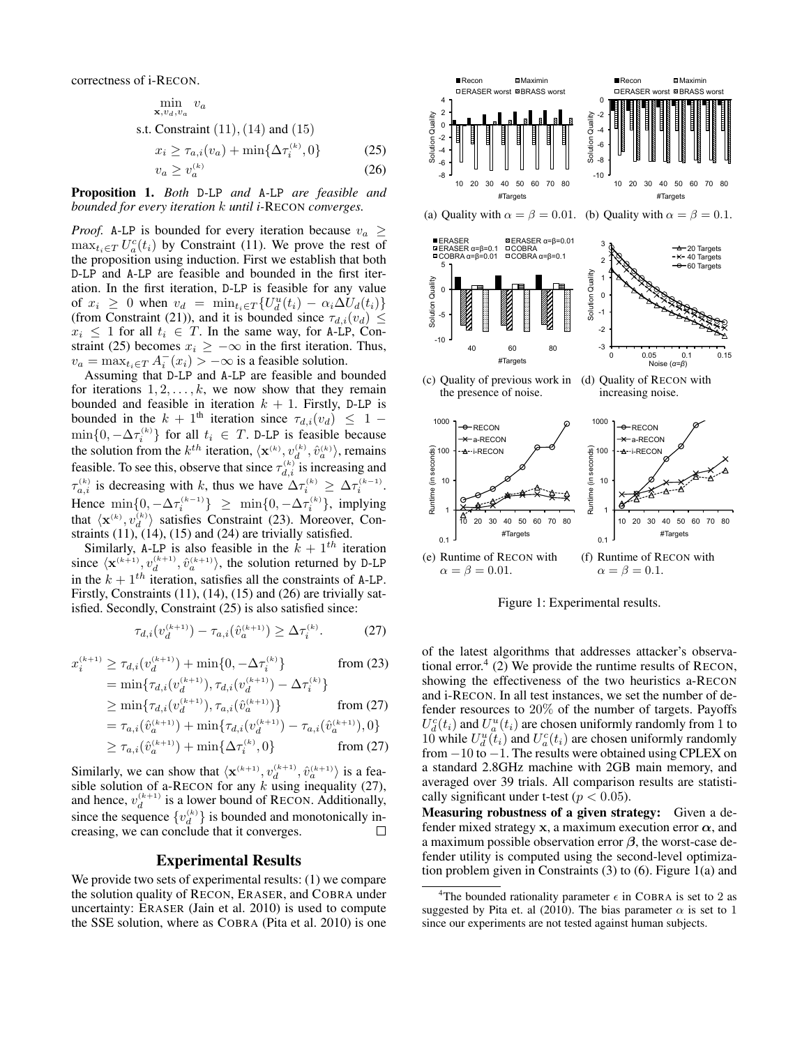correctness of i-RECON.

$$
\min_{\mathbf{x}, v_d, v_a} v_a
$$
  
s.t. Constant (11), (14) and (15)  

$$
x_i \ge \tau_{a,i}(v_a) + \min\{\Delta\tau_i^{(k)}, 0\}
$$
 (25)  

$$
v_a \ge v_a^{(k)}
$$
 (26)

Proposition 1. *Both* D*-*LP *and* A*-*LP *are feasible and bounded for every iteration* k *until i-*RECON *converges.*

*Proof.* A-LP is bounded for every iteration because  $v_a \geq$  $\max_{t_i \in T} U_a^c(t_i)$  by Constraint (11). We prove the rest of the proposition using induction. First we establish that both D-LP and A-LP are feasible and bounded in the first iteration. In the first iteration, D-LP is feasible for any value of  $x_i \geq 0$  when  $v_d = \min_{t_i \in T} \{ U_d^u(t_i) - \alpha_i \Delta U_d(t_i) \}$ (from Constraint (21)), and it is bounded since  $\tau_{d,i}(v_d) \leq$  $x_i \leq 1$  for all  $t_i \in T$ . In the same way, for A-LP, Constraint (25) becomes  $x_i \geq -\infty$  in the first iteration. Thus,  $v_a = \max_{t_i \in T} A_i^-(x_i) > -\infty$  is a feasible solution.

Assuming that D-LP and A-LP are feasible and bounded for iterations  $1, 2, \ldots, k$ , we now show that they remain bounded and feasible in iteration  $k + 1$ . Firstly, D-LP is bounded in the  $k + 1$ <sup>th</sup> iteration since  $\tau_{d,i}(v_d) \leq 1$  –  $\min\{0, -\Delta \tau_i^{(k)}\}$  for all  $t_i \in T$ . D-LP is feasible because the solution from the  $k^{th}$  iteration,  $\langle \mathbf{x}^{(k)}, v_d^{(k)}, \hat{v}_a^{(k)} \rangle$ , remains feasible. To see this, observe that since  $\tau_{d,i}^{(k)}$  is increasing and  $\tau_{a,i}^{(k)}$  is decreasing with k, thus we have  $\Delta \tau_i^{(k)} \geq \Delta \tau_i^{(k-1)}$ . Hence  $\min\{0, -\Delta \tau_i^{(k-1)}\} \geq \min\{0, -\Delta \tau_i^{(k)}\}$ , implying that  $\langle \mathbf{x}^{(k)}, v_d^{(k)} \rangle$  satisfies Constraint (23). Moreover, Constraints  $(11)$ ,  $(14)$ ,  $(15)$  and  $(24)$  are trivially satisfied.

Similarly, A-LP is also feasible in the  $k + 1$ <sup>th</sup> iteration since  $\langle \mathbf{x}^{(k+1)}, v_d^{(k+1)}, \hat{v}_a^{(k+1)} \rangle$ , the solution returned by D-LP in the  $k + 1$ <sup>th</sup> iteration, satisfies all the constraints of A-LP. Firstly, Constraints (11), (14), (15) and (26) are trivially satisfied. Secondly, Constraint (25) is also satisfied since:

$$
\tau_{d,i}(v_d^{(k+1)}) - \tau_{a,i}(\hat{v}_a^{(k+1)}) \ge \Delta \tau_i^{(k)}.\tag{27}
$$

$$
x_i^{(k+1)} \ge \tau_{d,i}(v_d^{(k+1)}) + \min\{0, -\Delta\tau_i^{(k)}\} \qquad \text{from (23)}
$$
  
=  $\min\{\tau_{d,i}(v_d^{(k+1)}), \tau_{d,i}(v_d^{(k+1)}) - \Delta\tau_i^{(k)}\}$   
>  $\min\{\tau_{d,i}(v_d^{(k+1)}) - \pi_{d,i}(v_d^{(k+1)})\}$  from (27)

$$
\geq \min\{\tau_{d,i}(v_d^{(k+1)}), \tau_{a,i}(\hat{v}_a^{(k+1)})\} \qquad \text{from (27)}
$$
  
=  $\tau_{a,i}(\hat{v}_a^{(k+1)}) + \min\{\tau_{d,i}(v_d^{(k+1)}) - \tau_{a,i}(\hat{v}_a^{(k+1)}), 0\}$ 

$$
= \tau_{a,i}(v_a) + \min\{\tau_{d,i}(v_d) - \tau_{a,i}(v_a), 0\}
$$
  
\n
$$
\geq \tau_{a,i}(\hat{v}_a^{(k+1)}) + \min\{\Delta \tau_i^{(k)}, 0\}
$$
 from (27)

Similarly, we can show that  $\langle \mathbf{x}^{(k+1)}, v_d^{(k+1)}, \hat{v}_a^{(k+1)} \rangle$  is a feasible solution of a-RECON for any  $k$  using inequality (27), and hence,  $v_d^{(k+1)}$  is a lower bound of RECON. Additionally, since the sequence  $\{v_d^{(k)}\}$  is bounded and monotonically increasing, we can conclude that it converges.  $\Box$ 

#### Experimental Results

We provide two sets of experimental results: (1) we compare the solution quality of RECON, ERASER, and COBRA under uncertainty: ERASER (Jain et al. 2010) is used to compute the SSE solution, where as COBRA (Pita et al. 2010) is one



Figure 1: Experimental results.

of the latest algorithms that addresses attacker's observational error.<sup>4</sup> (2) We provide the runtime results of RECON, showing the effectiveness of the two heuristics a-RECON and i-RECON. In all test instances, we set the number of defender resources to 20% of the number of targets. Payoffs  $U_d^c(t_i)$  and  $U_u^u(t_i)$  are chosen uniformly randomly from 1 to 10 while  $U_d^u(t_i)$  and  $U_a^c(t_i)$  are chosen uniformly randomly from −10 to −1. The results were obtained using CPLEX on a standard 2.8GHz machine with 2GB main memory, and averaged over 39 trials. All comparison results are statistically significant under t-test ( $p < 0.05$ ).

Measuring robustness of a given strategy: Given a defender mixed strategy x, a maximum execution error  $\alpha$ , and a maximum possible observation error  $\beta$ , the worst-case defender utility is computed using the second-level optimization problem given in Constraints (3) to (6). Figure 1(a) and

<sup>&</sup>lt;sup>4</sup>The bounded rationality parameter  $\epsilon$  in COBRA is set to 2 as suggested by Pita et. al (2010). The bias parameter  $\alpha$  is set to 1 since our experiments are not tested against human subjects.